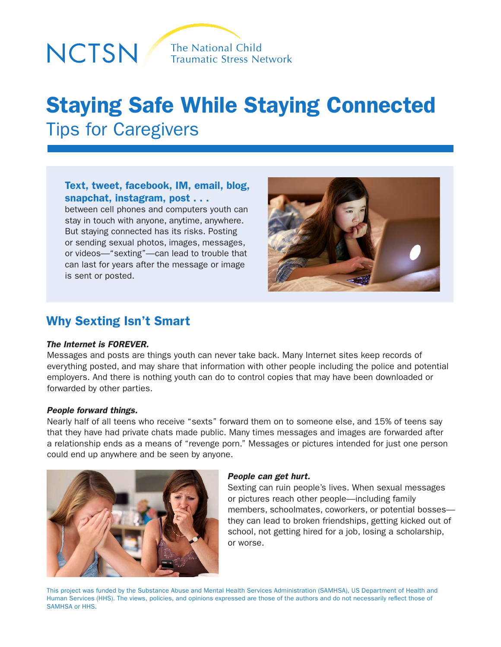

# Staying Safe While Staying Connected Tips for Caregivers

# Text, tweet, facebook, IM, email, blog, snapchat, instagram, post . . .

between cell phones and computers youth can stay in touch with anyone, anytime, anywhere. But staying connected has its risks. Posting or sending sexual photos, images, messages, or videos—"sexting"—can lead to trouble that can last for years after the message or image is sent or posted.



# Why Sexting Isn't Smart

## *The Internet is FOREVER.*

Messages and posts are things youth can never take back. Many Internet sites keep records of everything posted, and may share that information with other people including the police and potential employers. And there is nothing youth can do to control copies that may have been downloaded or forwarded by other parties.

## *People forward things.*

Nearly half of all teens who receive "sexts" forward them on to someone else, and 15% of teens say that they have had private chats made public. Many times messages and images are forwarded after a relationship ends as a means of "revenge porn." Messages or pictures intended for just one person could end up anywhere and be seen by anyone.



#### *People can get hurt.*

Sexting can ruin people's lives. When sexual messages or pictures reach other people—including family members, schoolmates, coworkers, or potential bosses they can lead to broken friendships, getting kicked out of school, not getting hired for a job, losing a scholarship, or worse.

This project was funded by the Substance Abuse and Mental Health Services Administration (SAMHSA), US Department of Health and Human Services (HHS). The views, policies, and opinions expressed are those of the authors and do not necessarily reflect those of SAMHSA or HHS.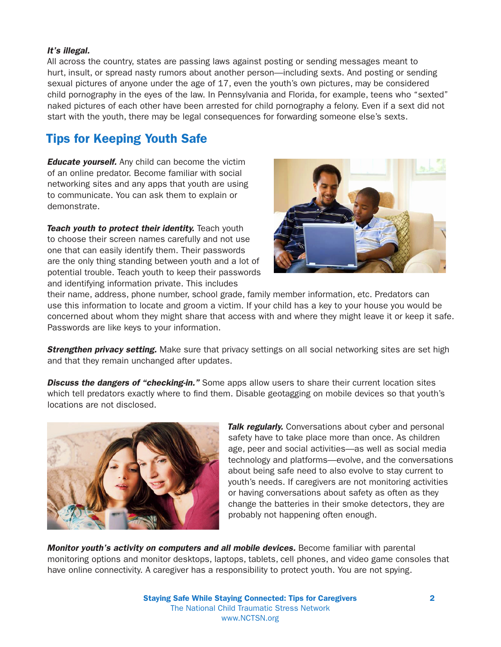## *It's illegal.*

All across the country, states are passing laws against posting or sending messages meant to hurt, insult, or spread nasty rumors about another person—including sexts. And posting or sending sexual pictures of anyone under the age of 17, even the youth's own pictures, may be considered child pornography in the eyes of the law. In Pennsylvania and Florida, for example, teens who "sexted" naked pictures of each other have been arrested for child pornography a felony. Even if a sext did not start with the youth, there may be legal consequences for forwarding someone else's sexts.

# Tips for Keeping Youth Safe

*Educate yourself.* Any child can become the victim of an online predator. Become familiar with social networking sites and any apps that youth are using to communicate. You can ask them to explain or demonstrate.

*Teach youth to protect their identity.* Teach youth to choose their screen names carefully and not use one that can easily identify them. Their passwords are the only thing standing between youth and a lot of potential trouble. Teach youth to keep their passwords and identifying information private. This includes



their name, address, phone number, school grade, family member information, etc. Predators can use this information to locate and groom a victim. If your child has a key to your house you would be concerned about whom they might share that access with and where they might leave it or keep it safe. Passwords are like keys to your information.

**Strengthen privacy setting.** Make sure that privacy settings on all social networking sites are set high and that they remain unchanged after updates.

**Discuss the dangers of "checking-in.**" Some apps allow users to share their current location sites which tell predators exactly where to find them. Disable geotagging on mobile devices so that youth's locations are not disclosed.



**Talk regularly.** Conversations about cyber and personal safety have to take place more than once. As children age, peer and social activities—as well as social media technology and platforms—evolve, and the conversations about being safe need to also evolve to stay current to youth's needs. If caregivers are not monitoring activities or having conversations about safety as often as they change the batteries in their smoke detectors, they are probably not happening often enough.

*Monitor youth's activity on computers and all mobile devices.* Become familiar with parental monitoring options and monitor desktops, laptops, tablets, cell phones, and video game consoles that have online connectivity. A caregiver has a responsibility to protect youth. You are not spying.